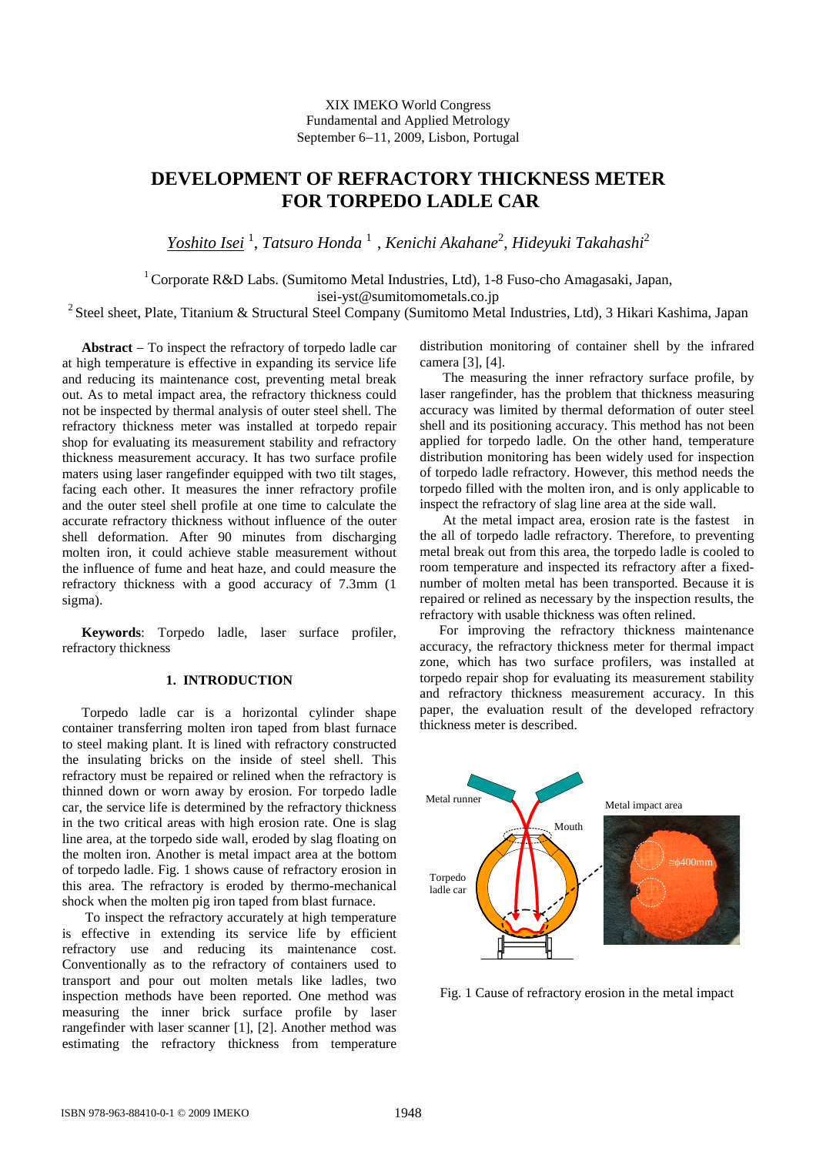# XIX IMEKO World Congress Fundamental and Applied Metrology September 6-11, 2009, Lisbon, Portugal

# **DEVELOPMENT OF REFRACTORY THICKNESS METER FOR TORPEDO LADLE CAR**

*Yoshito Isei* <sup>1</sup> , *Tatsuro Honda* <sup>1</sup> , *Kenichi Akahane*<sup>2</sup> , *Hideyuki Takahashi*<sup>2</sup>

<sup>1</sup> Corporate R&D Labs. (Sumitomo Metal Industries, Ltd), 1-8 Fuso-cho Amagasaki, Japan,

isei-yst@sumitomometals.co.jp<br><sup>2</sup> Steel sheet, Plate, Titanium & Structural Steel Company (Sumitomo Metal Industries, Ltd), 3 Hikari Kashima, Japan

Abstract – To inspect the refractory of torpedo ladle car at high temperature is effective in expanding its service life and reducing its maintenance cost, preventing metal break out. As to metal impact area, the refractory thickness could not be inspected by thermal analysis of outer steel shell. The refractory thickness meter was installed at torpedo repair shop for evaluating its measurement stability and refractory thickness measurement accuracy. It has two surface profile maters using laser rangefinder equipped with two tilt stages, facing each other. It measures the inner refractory profile and the outer steel shell profile at one time to calculate the accurate refractory thickness without influence of the outer shell deformation. After 90 minutes from discharging molten iron, it could achieve stable measurement without the influence of fume and heat haze, and could measure the refractory thickness with a good accuracy of 7.3mm (1 sigma).

**Keywords**: Torpedo ladle, laser surface profiler, refractory thickness

## **1. INTRODUCTION**

Torpedo ladle car is a horizontal cylinder shape container transferring molten iron taped from blast furnace to steel making plant. It is lined with refractory constructed the insulating bricks on the inside of steel shell. This refractory must be repaired or relined when the refractory is thinned down or worn away by erosion. For torpedo ladle car, the service life is determined by the refractory thickness in the two critical areas with high erosion rate. One is slag line area, at the torpedo side wall, eroded by slag floating on the molten iron. Another is metal impact area at the bottom of torpedo ladle. Fig. 1 shows cause of refractory erosion in this area. The refractory is eroded by thermo-mechanical shock when the molten pig iron taped from blast furnace.

 To inspect the refractory accurately at high temperature is effective in extending its service life by efficient refractory use and reducing its maintenance cost. Conventionally as to the refractory of containers used to transport and pour out molten metals like ladles, two inspection methods have been reported. One method was measuring the inner brick surface profile by laser rangefinder with laser scanner [1], [2]. Another method was estimating the refractory thickness from temperature

distribution monitoring of container shell by the infrared camera [3], [4].

 The measuring the inner refractory surface profile, by laser rangefinder, has the problem that thickness measuring accuracy was limited by thermal deformation of outer steel shell and its positioning accuracy. This method has not been applied for torpedo ladle. On the other hand, temperature distribution monitoring has been widely used for inspection of torpedo ladle refractory. However, this method needs the torpedo filled with the molten iron, and is only applicable to inspect the refractory of slag line area at the side wall.

 At the metal impact area, erosion rate is the fastest in the all of torpedo ladle refractory. Therefore, to preventing metal break out from this area, the torpedo ladle is cooled to room temperature and inspected its refractory after a fixednumber of molten metal has been transported. Because it is repaired or relined as necessary by the inspection results, the refractory with usable thickness was often relined.

For improving the refractory thickness maintenance accuracy, the refractory thickness meter for thermal impact zone, which has two surface profilers, was installed at torpedo repair shop for evaluating its measurement stability and refractory thickness measurement accuracy. In this paper, the evaluation result of the developed refractory thickness meter is described.



Fig. 1 Cause of refractory erosion in the metal impact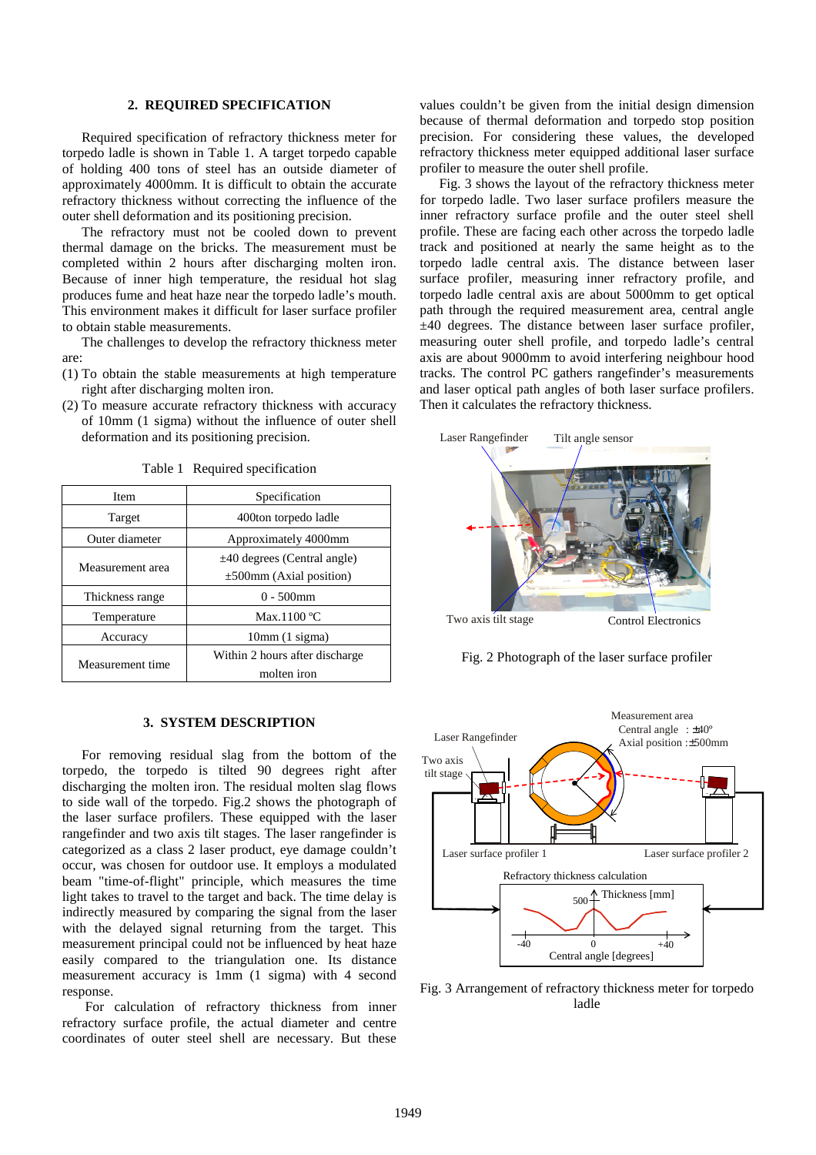#### **2. REQUIRED SPECIFICATION**

Required specification of refractory thickness meter for torpedo ladle is shown in Table 1. A target torpedo capable of holding 400 tons of steel has an outside diameter of approximately 4000mm. It is difficult to obtain the accurate refractory thickness without correcting the influence of the outer shell deformation and its positioning precision.

The refractory must not be cooled down to prevent thermal damage on the bricks. The measurement must be completed within 2 hours after discharging molten iron. Because of inner high temperature, the residual hot slag produces fume and heat haze near the torpedo ladle's mouth. This environment makes it difficult for laser surface profiler to obtain stable measurements.

The challenges to develop the refractory thickness meter are:

- (1) To obtain the stable measurements at high temperature right after discharging molten iron.
- (2) To measure accurate refractory thickness with accuracy of 10mm (1 sigma) without the influence of outer shell deformation and its positioning precision.

| Item             | Specification                                                     |
|------------------|-------------------------------------------------------------------|
| Target           | 400ton torpedo ladle                                              |
| Outer diameter   | Approximately 4000mm                                              |
| Measurement area | $\pm$ 40 degrees (Central angle)<br>$\pm 500$ mm (Axial position) |
| Thickness range  | $0 - 500$ mm                                                      |
| Temperature      | Max.1100 $\degree$ C                                              |
| Accuracy         | 10mm(1 sigma)                                                     |
| Measurement time | Within 2 hours after discharge<br>molten iron                     |

Table 1 Required specification

#### **3. SYSTEM DESCRIPTION**

For removing residual slag from the bottom of the torpedo, the torpedo is tilted 90 degrees right after discharging the molten iron. The residual molten slag flows to side wall of the torpedo. Fig.2 shows the photograph of the laser surface profilers. These equipped with the laser rangefinder and two axis tilt stages. The laser rangefinder is categorized as a class 2 laser product, eye damage couldn't occur, was chosen for outdoor use. It employs a modulated beam "time-of-flight" principle, which measures the time light takes to travel to the target and back. The time delay is indirectly measured by comparing the signal from the laser with the delayed signal returning from the target. This measurement principal could not be influenced by heat haze easily compared to the triangulation one. Its distance measurement accuracy is 1mm (1 sigma) with 4 second response.

 For calculation of refractory thickness from inner refractory surface profile, the actual diameter and centre coordinates of outer steel shell are necessary. But these values couldn't be given from the initial design dimension because of thermal deformation and torpedo stop position precision. For considering these values, the developed refractory thickness meter equipped additional laser surface profiler to measure the outer shell profile.

Fig. 3 shows the layout of the refractory thickness meter for torpedo ladle. Two laser surface profilers measure the inner refractory surface profile and the outer steel shell profile. These are facing each other across the torpedo ladle track and positioned at nearly the same height as to the torpedo ladle central axis. The distance between laser surface profiler, measuring inner refractory profile, and torpedo ladle central axis are about 5000mm to get optical path through the required measurement area, central angle ±40 degrees. The distance between laser surface profiler, measuring outer shell profile, and torpedo ladle's central axis are about 9000mm to avoid interfering neighbour hood tracks. The control PC gathers rangefinder's measurements and laser optical path angles of both laser surface profilers. Then it calculates the refractory thickness.



Fig. 2 Photograph of the laser surface profiler



Fig. 3 Arrangement of refractory thickness meter for torpedo ladle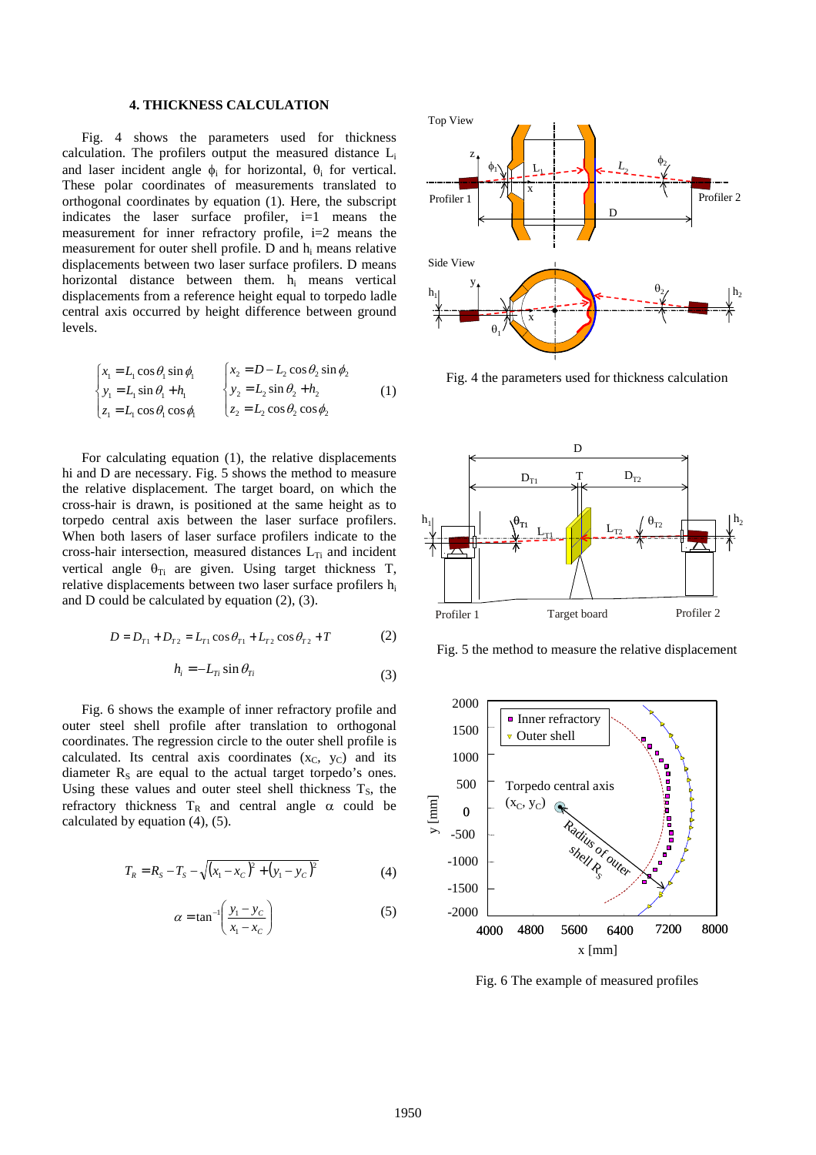## **4. THICKNESS CALCULATION**

Fig. 4 shows the parameters used for thickness calculation. The profilers output the measured distance  $L_i$ and laser incident angle  $\phi_i$  for horizontal,  $\theta_i$  for vertical. These polar coordinates of measurements translated to orthogonal coordinates by equation (1). Here, the subscript indicates the laser surface profiler, i=1 means the measurement for inner refractory profile, i=2 means the measurement for outer shell profile. D and hi means relative displacements between two laser surface profilers. D means horizontal distance between them. hi means vertical displacements from a reference height equal to torpedo ladle central axis occurred by height difference between ground levels.

$$
\begin{cases}\n x_1 = L_1 \cos \theta_1 \sin \phi_1 & \begin{cases}\n x_2 = D - L_2 \cos \theta_2 \sin \phi_2 \\
y_1 = L_1 \sin \theta_1 + h_1\n \end{cases} & \begin{cases}\n x_2 = D - L_2 \cos \theta_2 \sin \phi_2 \\
y_2 = L_2 \sin \theta_2 + h_2\n \end{cases} & (1) \\
z_1 = L_1 \cos \theta_1 \cos \phi_1\n\end{cases}
$$

For calculating equation (1), the relative displacements hi and D are necessary. Fig. 5 shows the method to measure the relative displacement. The target board, on which the cross-hair is drawn, is positioned at the same height as to torpedo central axis between the laser surface profilers. When both lasers of laser surface profilers indicate to the cross-hair intersection, measured distances  $L_{Ti}$  and incident vertical angle  $\theta_{Ti}$  are given. Using target thickness T, relative displacements between two laser surface profilers  $h_i$ and D could be calculated by equation (2), (3).

$$
D = D_{T1} + D_{T2} = L_{T1} \cos \theta_{T1} + L_{T2} \cos \theta_{T2} + T \tag{2}
$$

$$
h_i = -L_{Ti} \sin \theta_{Ti} \tag{3}
$$

Fig. 6 shows the example of inner refractory profile and outer steel shell profile after translation to orthogonal coordinates. The regression circle to the outer shell profile is calculated. Its central axis coordinates  $(x_C, y_C)$  and its diameter  $R<sub>S</sub>$  are equal to the actual target torpedo's ones. Using these values and outer steel shell thickness  $T_s$ , the refractory thickness  $T_R$  and central angle  $\alpha$  could be calculated by equation (4), (5).

$$
T_R = R_S - T_S - \sqrt{(x_1 - x_C)^2 + (y_1 - y_C)^2}
$$
 (4)

$$
\alpha = \tan^{-1}\left(\frac{y_1 - y_c}{x_1 - x_c}\right) \tag{5}
$$



Fig. 4 the parameters used for thickness calculation



Fig. 5 the method to measure the relative displacement



Fig. 6 The example of measured profiles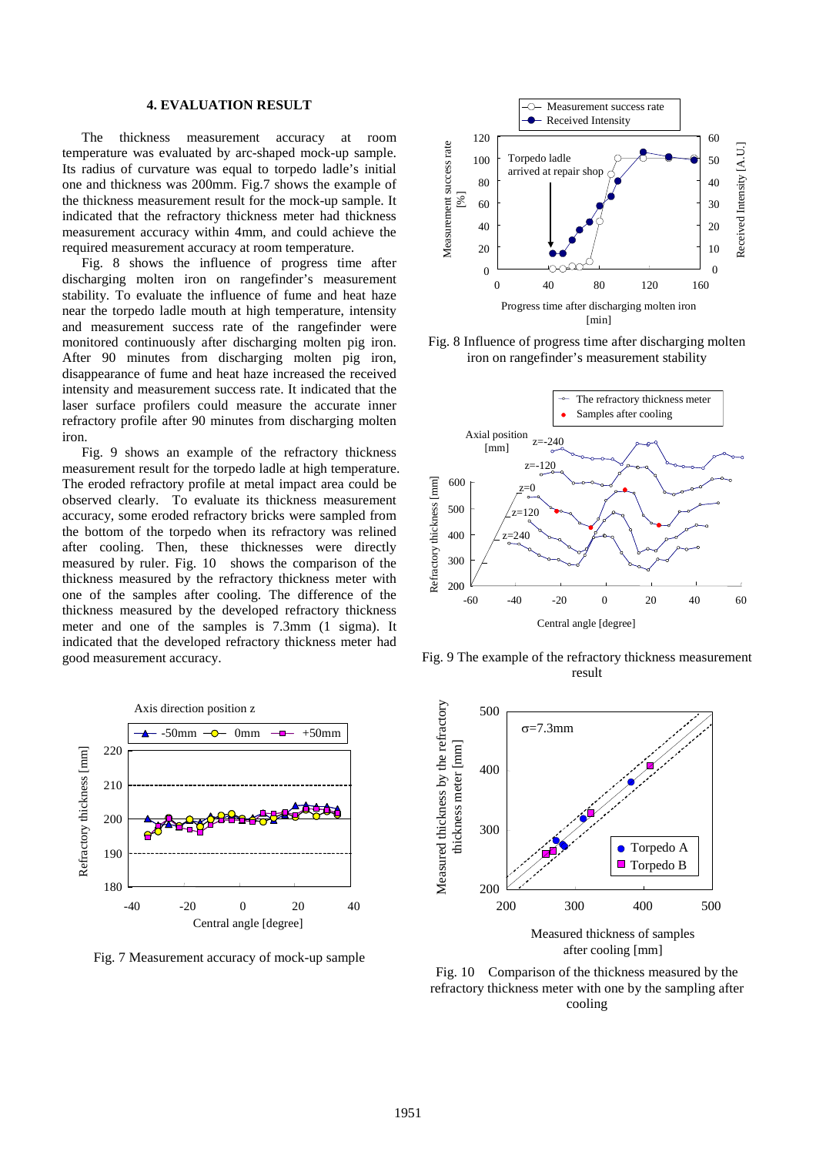## **4. EVALUATION RESULT**

The thickness measurement accuracy at room temperature was evaluated by arc-shaped mock-up sample. Its radius of curvature was equal to torpedo ladle's initial one and thickness was 200mm. Fig.7 shows the example of the thickness measurement result for the mock-up sample. It indicated that the refractory thickness meter had thickness measurement accuracy within 4mm, and could achieve the required measurement accuracy at room temperature.

Fig. 8 shows the influence of progress time after discharging molten iron on rangefinder's measurement stability. To evaluate the influence of fume and heat haze near the torpedo ladle mouth at high temperature, intensity and measurement success rate of the rangefinder were monitored continuously after discharging molten pig iron. After 90 minutes from discharging molten pig iron, disappearance of fume and heat haze increased the received intensity and measurement success rate. It indicated that the laser surface profilers could measure the accurate inner refractory profile after 90 minutes from discharging molten iron.

Fig. 9 shows an example of the refractory thickness measurement result for the torpedo ladle at high temperature. The eroded refractory profile at metal impact area could be observed clearly. To evaluate its thickness measurement accuracy, some eroded refractory bricks were sampled from the bottom of the torpedo when its refractory was relined after cooling. Then, these thicknesses were directly measured by ruler. Fig. 10 shows the comparison of the thickness measured by the refractory thickness meter with one of the samples after cooling. The difference of the thickness measured by the developed refractory thickness meter and one of the samples is 7.3mm (1 sigma). It indicated that the developed refractory thickness meter had good measurement accuracy.



Fig. 7 Measurement accuracy of mock-up sample



Fig. 8 Influence of progress time after discharging molten iron on rangefinder's measurement stability



Fig. 9 The example of the refractory thickness measurement result



after cooling [mm]

Fig. 10 Comparison of the thickness measured by the refractory thickness meter with one by the sampling after cooling